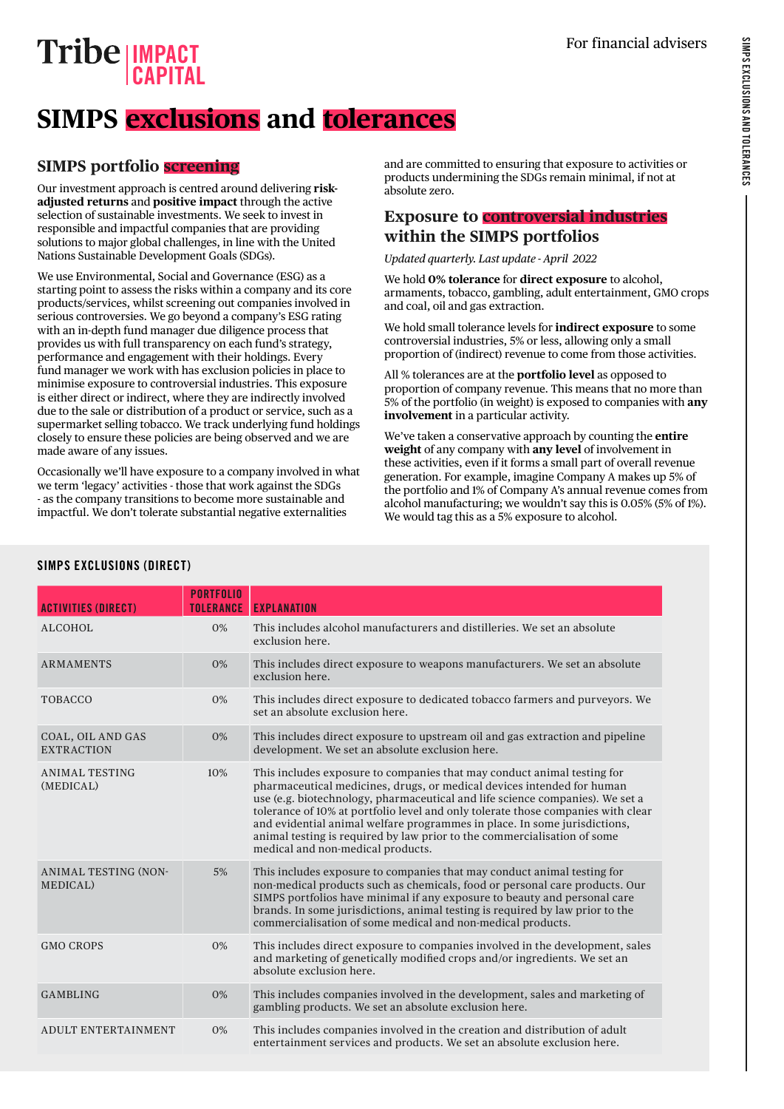# SIMPS EXCLUSIONS AND TOLERANCES SIMPS EXCLUSIONS AND TOLERANCES

## **IMPACT CAPITAL**

# **SIMPS exclusions and tolerances**

## **SIMPS portfolio screening**

Our investment approach is centred around delivering **riskadjusted returns** and **positive impact** through the active selection of sustainable investments. We seek to invest in responsible and impactful companies that are providing solutions to major global challenges, in line with the United Nations Sustainable Development Goals (SDGs).

We use Environmental, Social and Governance (ESG) as a starting point to assess the risks within a company and its core products/services, whilst screening out companies involved in serious controversies. We go beyond a company's ESG rating with an in-depth fund manager due diligence process that provides us with full transparency on each fund's strategy, performance and engagement with their holdings. Every fund manager we work with has exclusion policies in place to minimise exposure to controversial industries. This exposure is either direct or indirect, where they are indirectly involved due to the sale or distribution of a product or service, such as a supermarket selling tobacco. We track underlying fund holdings closely to ensure these policies are being observed and we are made aware of any issues.

Occasionally we'll have exposure to a company involved in what we term 'legacy' activities - those that work against the SDGs - as the company transitions to become more sustainable and impactful. We don't tolerate substantial negative externalities

and are committed to ensuring that exposure to activities or products undermining the SDGs remain minimal, if not at absolute zero.

### **Exposure to controversial industries within the SIMPS portfolios**

*Updated quarterly. Last update - April 2022* 

We hold **0% tolerance** for **direct exposure** to alcohol, armaments, tobacco, gambling, adult entertainment, GMO crops and coal, oil and gas extraction.

We hold small tolerance levels for **indirect exposure** to some controversial industries, 5% or less, allowing only a small proportion of (indirect) revenue to come from those activities.

All % tolerances are at the **portfolio level** as opposed to proportion of company revenue. This means that no more than 5% of the portfolio (in weight) is exposed to companies with **any involvement** in a particular activity.

We've taken a conservative approach by counting the **entire weight** of any company with **any level** of involvement in these activities, even if it forms a small part of overall revenue generation. For example, imagine Company A makes up 5% of the portfolio and 1% of Company A's annual revenue comes from alcohol manufacturing; we wouldn't say this is 0.05% (5% of 1%). We would tag this as a 5% exposure to alcohol.

| <b>ACTIVITIES (DIRECT)</b>              | <b>PORTFOLIO</b><br><b>TOLERANCE</b> | <b>EXPLANATION</b>                                                                                                                                                                                                                                                                                                                                                                                                                                                                                                   |
|-----------------------------------------|--------------------------------------|----------------------------------------------------------------------------------------------------------------------------------------------------------------------------------------------------------------------------------------------------------------------------------------------------------------------------------------------------------------------------------------------------------------------------------------------------------------------------------------------------------------------|
| ALCOHOL                                 | 0%                                   | This includes alcohol manufacturers and distilleries. We set an absolute<br>exclusion here.                                                                                                                                                                                                                                                                                                                                                                                                                          |
| <b>ARMAMENTS</b>                        | 0%                                   | This includes direct exposure to weapons manufacturers. We set an absolute<br>exclusion here.                                                                                                                                                                                                                                                                                                                                                                                                                        |
| <b>TOBACCO</b>                          | 0%                                   | This includes direct exposure to dedicated tobacco farmers and purveyors. We<br>set an absolute exclusion here.                                                                                                                                                                                                                                                                                                                                                                                                      |
| COAL, OIL AND GAS<br><b>EXTRACTION</b>  | 0%                                   | This includes direct exposure to upstream oil and gas extraction and pipeline<br>development. We set an absolute exclusion here.                                                                                                                                                                                                                                                                                                                                                                                     |
| ANIMAL TESTING<br>(MEDICAL)             | 10%                                  | This includes exposure to companies that may conduct animal testing for<br>pharmaceutical medicines, drugs, or medical devices intended for human<br>use (e.g. biotechnology, pharmaceutical and life science companies). We set a<br>tolerance of 10% at portfolio level and only tolerate those companies with clear<br>and evidential animal welfare programmes in place. In some jurisdictions,<br>animal testing is required by law prior to the commercialisation of some<br>medical and non-medical products. |
| <b>ANIMAL TESTING (NON-</b><br>MEDICAL) | 5%                                   | This includes exposure to companies that may conduct animal testing for<br>non-medical products such as chemicals, food or personal care products. Our<br>SIMPS portfolios have minimal if any exposure to beauty and personal care<br>brands. In some jurisdictions, animal testing is required by law prior to the<br>commercialisation of some medical and non-medical products.                                                                                                                                  |
| <b>GMO CROPS</b>                        | 0%                                   | This includes direct exposure to companies involved in the development, sales<br>and marketing of genetically modified crops and/or ingredients. We set an<br>absolute exclusion here.                                                                                                                                                                                                                                                                                                                               |
| <b>GAMBLING</b>                         | 0%                                   | This includes companies involved in the development, sales and marketing of<br>gambling products. We set an absolute exclusion here.                                                                                                                                                                                                                                                                                                                                                                                 |
| <b>ADULT ENTERTAINMENT</b>              | 0%                                   | This includes companies involved in the creation and distribution of adult<br>entertainment services and products. We set an absolute exclusion here.                                                                                                                                                                                                                                                                                                                                                                |

#### SIMPS EXCLUSIONS (DIRECT)